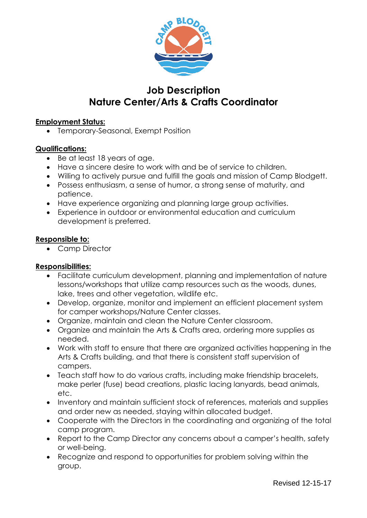

# **Job Description Nature Center/Arts & Crafts Coordinator**

## **Employment Status:**

• Temporary-Seasonal, Exempt Position

## **Qualifications:**

- Be at least 18 years of age.
- Have a sincere desire to work with and be of service to children.
- Willing to actively pursue and fulfill the goals and mission of Camp Blodgett.
- Possess enthusiasm, a sense of humor, a strong sense of maturity, and patience.
- Have experience organizing and planning large group activities.
- Experience in outdoor or environmental education and curriculum development is preferred.

#### **Responsible to:**

• Camp Director

## **Responsibilities:**

- Facilitate curriculum development, planning and implementation of nature lessons/workshops that utilize camp resources such as the woods, dunes, lake, trees and other vegetation, wildlife etc.
- Develop, organize, monitor and implement an efficient placement system for camper workshops/Nature Center classes.
- Organize, maintain and clean the Nature Center classroom.
- Organize and maintain the Arts & Crafts area, ordering more supplies as needed.
- Work with staff to ensure that there are organized activities happening in the Arts & Crafts building, and that there is consistent staff supervision of campers.
- Teach staff how to do various crafts, including make friendship bracelets, make perler (fuse) bead creations, plastic lacing lanyards, bead animals, etc.
- Inventory and maintain sufficient stock of references, materials and supplies and order new as needed, staying within allocated budget.
- Cooperate with the Directors in the coordinating and organizing of the total camp program.
- Report to the Camp Director any concerns about a camper's health, safety or well-being.
- Recognize and respond to opportunities for problem solving within the group.